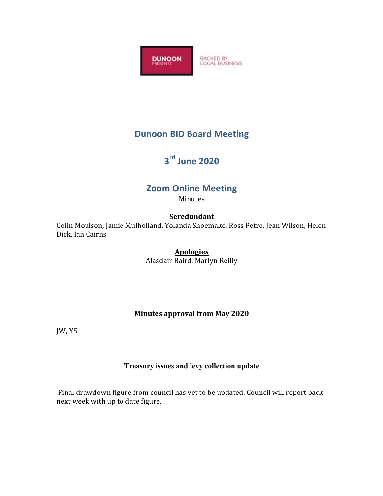

## **Dunoon BID Board Meeting**

# **3rd June 2020**

## **Zoom Online Meeting**

Minutes

#### **Seredundant**

Colin Moulson, Jamie Mulholland, Yolanda Shoemake, Ross Petro, Jean Wilson, Helen Dick, Ian Cairns

### **Apologies**

Alasdair Baird, Marlyn Reilly

#### **Minutes approval from May 2020**

JW, YS

#### **Treasury issues and levy collection update**

Final drawdown figure from council has yet to be updated. Council will report back next week with up to date figure.